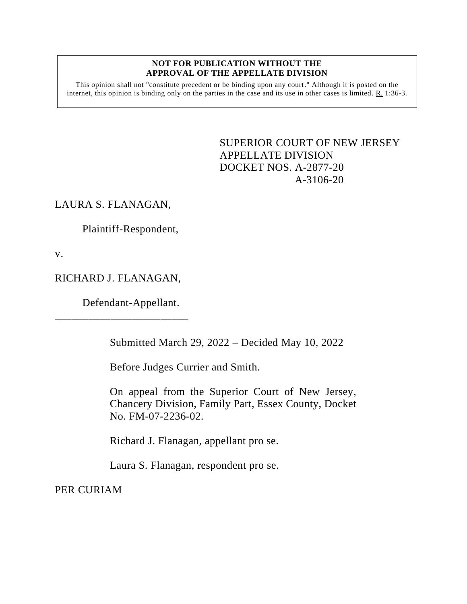## **NOT FOR PUBLICATION WITHOUT THE APPROVAL OF THE APPELLATE DIVISION**

This opinion shall not "constitute precedent or be binding upon any court." Although it is posted on the internet, this opinion is binding only on the parties in the case and its use in other cases is limited. R. 1:36-3.

> <span id="page-0-0"></span>SUPERIOR COURT OF NEW JERSEY APPELLATE DIVISION DOCKET NOS. A-2877-20 A-3106-20

## LAURA S. FLANAGAN,

Plaintiff-Respondent,

v.

## RICHARD J. FLANAGAN,

\_\_\_\_\_\_\_\_\_\_\_\_\_\_\_\_\_\_\_\_\_\_\_\_

Defendant-Appellant.

Submitted March 29, 2022 – Decided May 10, 2022

Before Judges Currier and Smith.

On appeal from the Superior Court of New Jersey, Chancery Division, Family Part, Essex County, Docket No. FM-07-2236-02.

Richard J. Flanagan, appellant pro se.

Laura S. Flanagan, respondent pro se.

PER CURIAM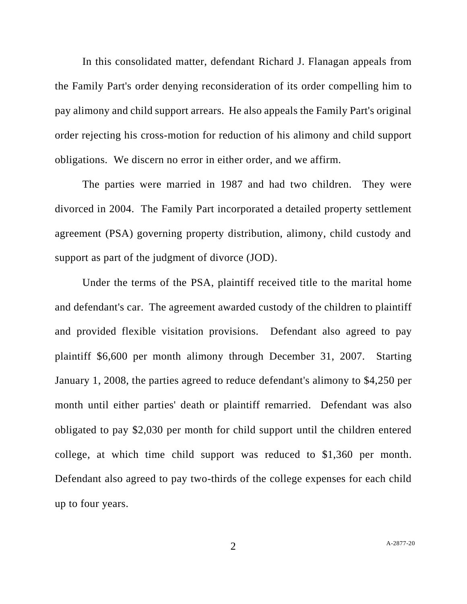In this consolidated matter, defendant Richard J. Flanagan appeals from the Family Part's order denying reconsideration of its order compelling him to pay alimony and child support arrears. He also appeals the Family Part's original order rejecting his cross-motion for reduction of his alimony and child support obligations. We discern no error in either order, and we affirm.

The parties were married in 1987 and had two children. They were divorced in 2004. The Family Part incorporated a detailed property settlement agreement (PSA) governing property distribution, alimony, child custody and support as part of the judgment of divorce (JOD).

Under the terms of the PSA, plaintiff received title to the marital home and defendant's car. The agreement awarded custody of the children to plaintiff and provided flexible visitation provisions. Defendant also agreed to pay plaintiff \$6,600 per month alimony through December 31, 2007. Starting January 1, 2008, the parties agreed to reduce defendant's alimony to \$4,250 per month until either parties' death or plaintiff remarried. Defendant was also obligated to pay \$2,030 per month for child support until the children entered college, at which time child support was reduced to \$1,360 per month. Defendant also agreed to pay two-thirds of the college expenses for each child up to four years.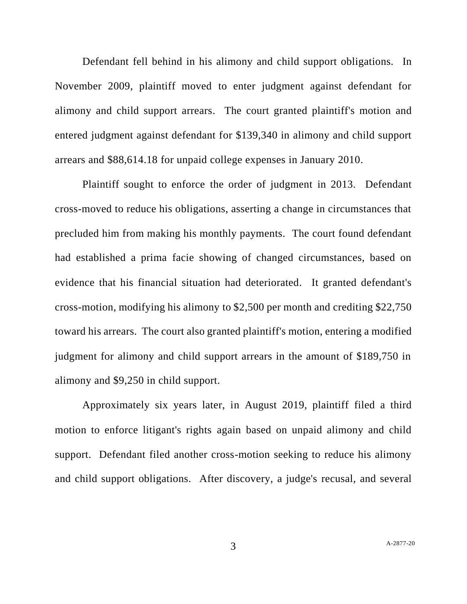Defendant fell behind in his alimony and child support obligations. In November 2009, plaintiff moved to enter judgment against defendant for alimony and child support arrears. The court granted plaintiff's motion and entered judgment against defendant for \$139,340 in alimony and child support arrears and \$88,614.18 for unpaid college expenses in January 2010.

Plaintiff sought to enforce the order of judgment in 2013. Defendant cross-moved to reduce his obligations, asserting a change in circumstances that precluded him from making his monthly payments. The court found defendant had established a prima facie showing of changed circumstances, based on evidence that his financial situation had deteriorated. It granted defendant's cross-motion, modifying his alimony to \$2,500 per month and crediting \$22,750 toward his arrears. The court also granted plaintiff's motion, entering a modified judgment for alimony and child support arrears in the amount of \$189,750 in alimony and \$9,250 in child support.

Approximately six years later, in August 2019, plaintiff filed a third motion to enforce litigant's rights again based on unpaid alimony and child support. Defendant filed another cross-motion seeking to reduce his alimony and child support obligations. After discovery, a judge's recusal, and several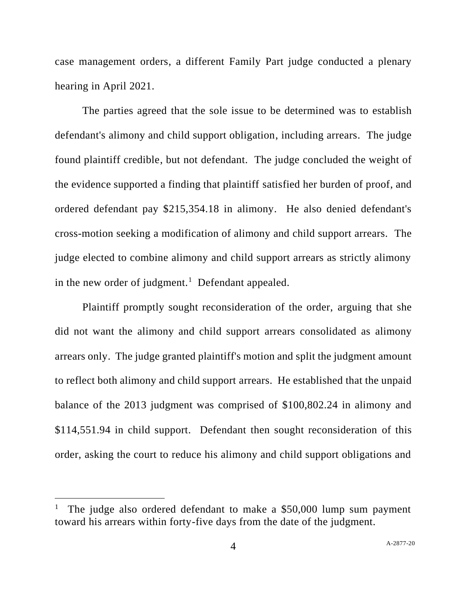case management orders, a different Family Part judge conducted a plenary hearing in April 2021.

The parties agreed that the sole issue to be determined was to establish defendant's alimony and child support obligation, including arrears. The judge found plaintiff credible, but not defendant. The judge concluded the weight of the evidence supported a finding that plaintiff satisfied her burden of proof, and ordered defendant pay \$215,354.18 in alimony. He also denied defendant's cross-motion seeking a modification of alimony and child support arrears. The judge elected to combine alimony and child support arrears as strictly alimony in the new order of judgment.<sup>1</sup> Defendant appealed.

Plaintiff promptly sought reconsideration of the order, arguing that she did not want the alimony and child support arrears consolidated as alimony arrears only. The judge granted plaintiff's motion and split the judgment amount to reflect both alimony and child support arrears. He established that the unpaid balance of the 2013 judgment was comprised of \$100,802.24 in alimony and \$114,551.94 in child support. Defendant then sought reconsideration of this order, asking the court to reduce his alimony and child support obligations and

<sup>1</sup> The judge also ordered defendant to make a \$50,000 lump sum payment toward his arrears within forty-five days from the date of the judgment.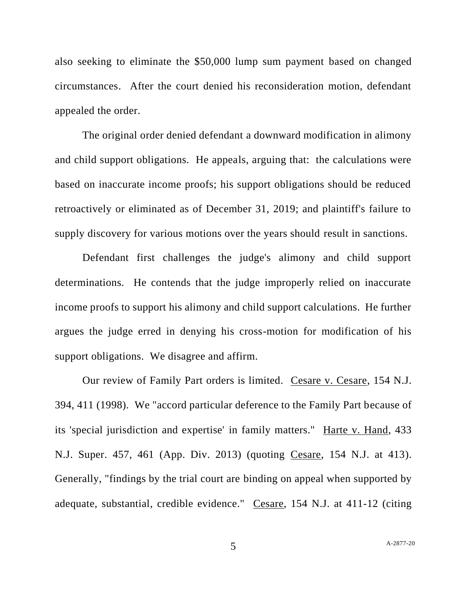also seeking to eliminate the \$50,000 lump sum payment based on changed circumstances. After the court denied his reconsideration motion, defendant appealed the order.

The original order denied defendant a downward modification in alimony and child support obligations. He appeals, arguing that: the calculations were based on inaccurate income proofs; his support obligations should be reduced retroactively or eliminated as of December 31, 2019; and plaintiff's failure to supply discovery for various motions over the years should result in sanctions.

Defendant first challenges the judge's alimony and child support determinations. He contends that the judge improperly relied on inaccurate income proofs to support his alimony and child support calculations. He further argues the judge erred in denying his cross-motion for modification of his support obligations. We disagree and affirm.

Our review of Family Part orders is limited. Cesare v. Cesare, 154 N.J. 394, 411 (1998). We "accord particular deference to the Family Part because of its 'special jurisdiction and expertise' in family matters." Harte v. Hand, 433 N.J. Super. 457, 461 (App. Div. 2013) (quoting Cesare, 154 N.J. at 413). Generally, "findings by the trial court are binding on appeal when supported by adequate, substantial, credible evidence." Cesare, 154 N.J. at 411-12 (citing

5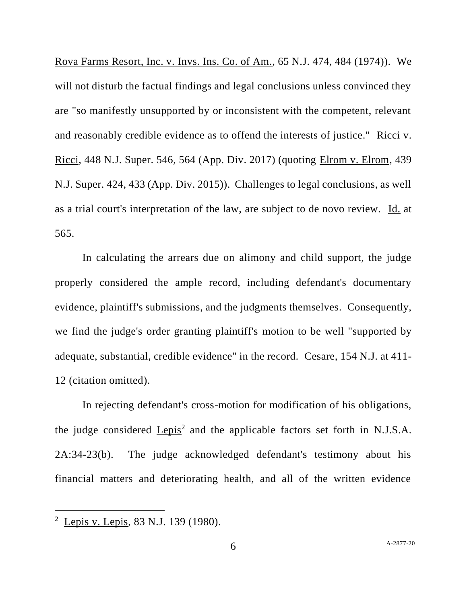Rova Farms Resort, Inc. v. Invs. Ins. Co. of Am., 65 N.J. 474, 484 (1974)). We will not disturb the factual findings and legal conclusions unless convinced they are "so manifestly unsupported by or inconsistent with the competent, relevant and reasonably credible evidence as to offend the interests of justice." Ricci v. Ricci, 448 N.J. Super. 546, 564 (App. Div. 2017) (quoting Elrom v. Elrom, 439 N.J. Super. 424, 433 (App. Div. 2015)). Challenges to legal conclusions, as well as a trial court's interpretation of the law, are subject to de novo review. Id. at 565.

In calculating the arrears due on alimony and child support, the judge properly considered the ample record, including defendant's documentary evidence, plaintiff's submissions, and the judgments themselves. Consequently, we find the judge's order granting plaintiff's motion to be well "supported by adequate, substantial, credible evidence" in the record. Cesare, 154 N.J. at 411- 12 (citation omitted).

In rejecting defendant's cross-motion for modification of his obligations, the judge considered  $Lepis<sup>2</sup>$  and the applicable factors set forth in N.J.S.A.</u> 2A:34-23(b). The judge acknowledged defendant's testimony about his financial matters and deteriorating health, and all of the written evidence

<sup>&</sup>lt;sup>2</sup> Lepis v. Lepis, 83 N.J. 139 (1980).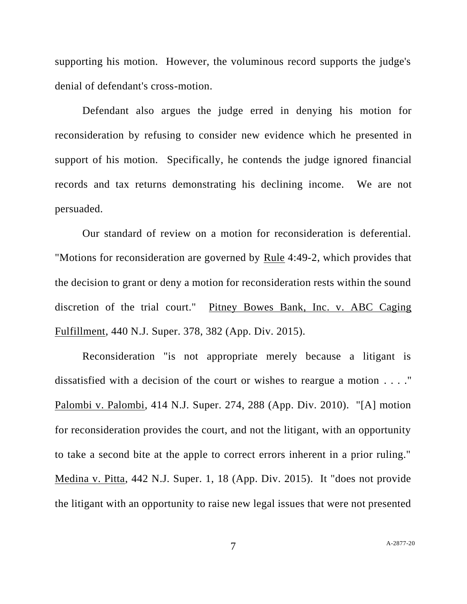supporting his motion. However, the voluminous record supports the judge's denial of defendant's cross-motion.

Defendant also argues the judge erred in denying his motion for reconsideration by refusing to consider new evidence which he presented in support of his motion. Specifically, he contends the judge ignored financial records and tax returns demonstrating his declining income. We are not persuaded.

Our standard of review on a motion for reconsideration is deferential. "Motions for reconsideration are governed by Rule 4:49-2, which provides that the decision to grant or deny a motion for reconsideration rests within the sound discretion of the trial court." Pitney Bowes Bank, Inc. v. ABC Caging Fulfillment, 440 N.J. Super. 378, 382 (App. Div. 2015).

Reconsideration "is not appropriate merely because a litigant is dissatisfied with a decision of the court or wishes to reargue a motion . . . ." Palombi v. Palombi, 414 N.J. Super. 274, 288 (App. Div. 2010). "[A] motion for reconsideration provides the court, and not the litigant, with an opportunity to take a second bite at the apple to correct errors inherent in a prior ruling." Medina v. Pitta, 442 N.J. Super. 1, 18 (App. Div. 2015). It "does not provide the litigant with an opportunity to raise new legal issues that were not presented

7